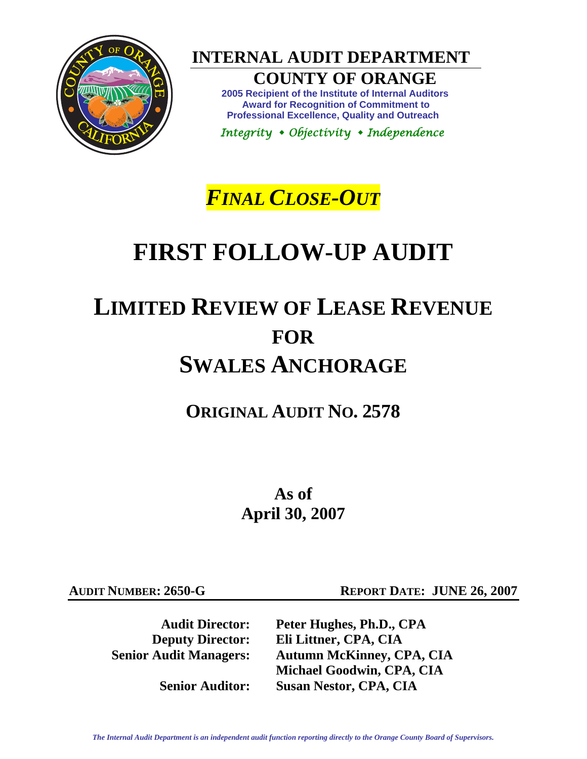

**INTERNAL AUDIT DEPARTMENT** 

# **COUNTY OF ORANGE**

**2005 Recipient of the Institute of Internal Auditors Award for Recognition of Commitment to Professional Excellence, Quality and Outreach** 

 *Integrity Objectivity Independence* 

# *FINAL CLOSE-OUT*

# **FIRST FOLLOW-UP AUDIT**

# **LIMITED REVIEW OF LEASE REVENUE FOR SWALES ANCHORAGE**

**ORIGINAL AUDIT NO. 2578** 

**As of April 30, 2007** 

**AUDIT NUMBER: 2650-G REPORT DATE: JUNE 26, 2007** 

 **Audit Director:** Peter Hughes, Ph.D., CPA<br> **Deputy Director:** Eli Littner, CPA, CIA **Eli Littner, CPA, CIA Senior Audit Managers: Autumn McKinney, CPA, CIA Michael Goodwin, CPA, CIA Senior Auditor: Susan Nestor, CPA, CIA** 

*The Internal Audit Department is an independent audit function reporting directly to the Orange County Board of Supervisors.*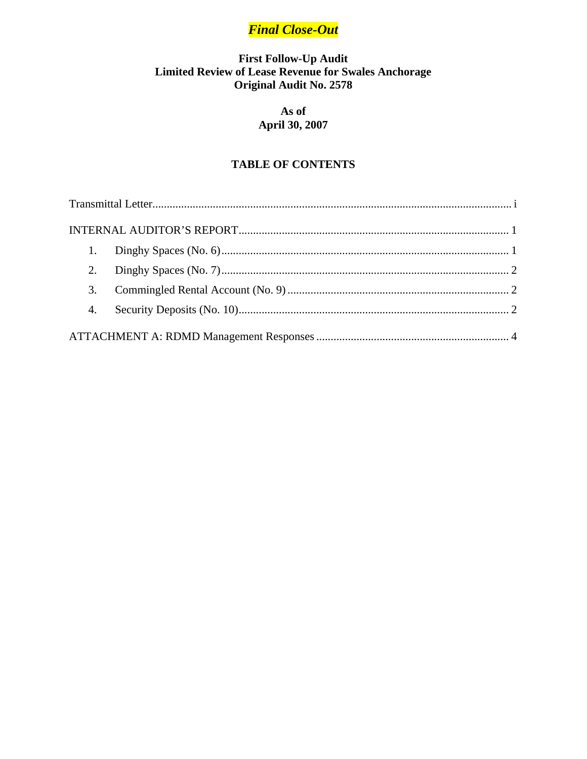# **Final Close-Out**

# First Follow-Up Audit<br>Limited Review of Lease Revenue for Swales Anchorage **Original Audit No. 2578**

# As of **April 30, 2007**

# **TABLE OF CONTENTS**

| 2. |  |
|----|--|
| 3. |  |
|    |  |
|    |  |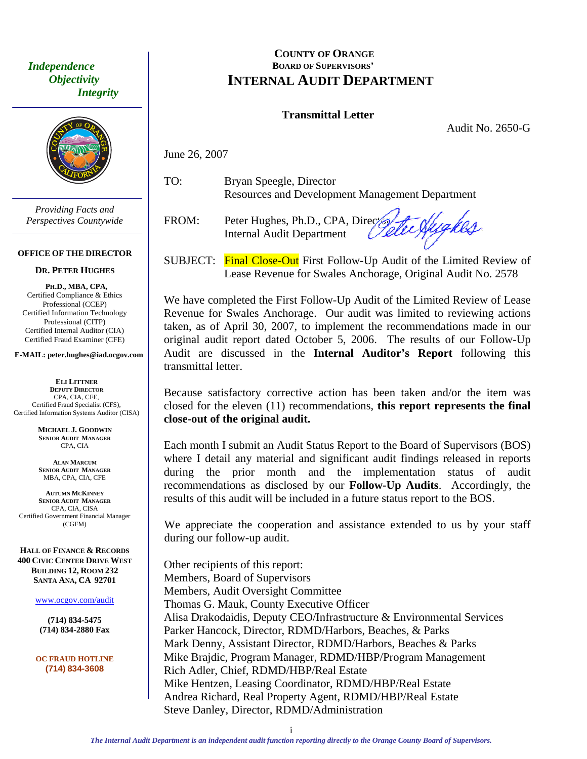<span id="page-2-0"></span> *Independence Objectivity Integrity* 



*Providing Facts and Perspectives Countywide* 

#### **OFFICE OF THE DIRECTOR**

#### **DR. PETER HUGHES**

**PH.D., MBA, CPA,**  Certified Compliance & Ethics Professional (CCEP) Certified Information Technology Professional (CITP) Certified Internal Auditor (CIA) Certified Fraud Examiner (CFE)

**E-MAIL: peter.hughes@iad.ocgov.com** 

**ELI LITTNER DEPUTY DIRECTOR** CPA, CIA, CFE, Certified Fraud Specialist (CFS), Certified Information Systems Auditor (CISA)

> **MICHAEL J. GOODWIN SENIOR AUDIT MANAGER** CPA, CIA

**ALAN MARCUM SENIOR AUDIT MANAGER** MBA, CPA, CIA, CFE

**AUTUMN MCKINNEY SENIOR AUDIT MANAGER** CPA, CIA, CISA Certified Government Financial Manager (CGFM)

**HALL OF FINANCE & RECORDS 400 CIVIC CENTER DRIVE WEST BUILDING 12, ROOM 232 SANTA ANA, CA 92701** 

www.ocgov.com/audit

**(714) 834-5475 (714) 834-2880 Fax** 

**OC FRAUD HOTLINE (714) 834-3608** 

## **COUNTY OF ORANGE BOARD OF SUPERVISORS' INTERNAL AUDIT DEPARTMENT**

#### **Transmittal Letter**

Audit No. 2650-G

June 26, 2007

TO: Bryan Speegle, Director Resources and Development Management Department

FROM: Peter Hughes, Ph.D., CPA, Director Internal Audit Department

lygkes

SUBJECT: Final Close-Out First Follow-Up Audit of the Limited Review of Lease Revenue for Swales Anchorage, Original Audit No. 2578

We have completed the First Follow-Up Audit of the Limited Review of Lease Revenue for Swales Anchorage. Our audit was limited to reviewing actions taken, as of April 30, 2007, to implement the recommendations made in our original audit report dated October 5, 2006. The results of our Follow-Up Audit are discussed in the **Internal Auditor's Report** following this transmittal letter.

Because satisfactory corrective action has been taken and/or the item was closed for the eleven (11) recommendations, **this report represents the final close-out of the original audit.** 

Each month I submit an Audit Status Report to the Board of Supervisors (BOS) where I detail any material and significant audit findings released in reports during the prior month and the implementation status of audit recommendations as disclosed by our **Follow-Up Audits**. Accordingly, the results of this audit will be included in a future status report to the BOS.

We appreciate the cooperation and assistance extended to us by your staff during our follow-up audit.

Other recipients of this report: Members, Board of Supervisors Members, Audit Oversight Committee Thomas G. Mauk, County Executive Officer Alisa Drakodaidis, Deputy CEO/Infrastructure & Environmental Services Parker Hancock, Director, RDMD/Harbors, Beaches, & Parks Mark Denny, Assistant Director, RDMD/Harbors, Beaches & Parks Mike Brajdic, Program Manager, RDMD/HBP/Program Management Rich Adler, Chief, RDMD/HBP/Real Estate Mike Hentzen, Leasing Coordinator, RDMD/HBP/Real Estate Andrea Richard, Real Property Agent, RDMD/HBP/Real Estate Steve Danley, Director, RDMD/Administration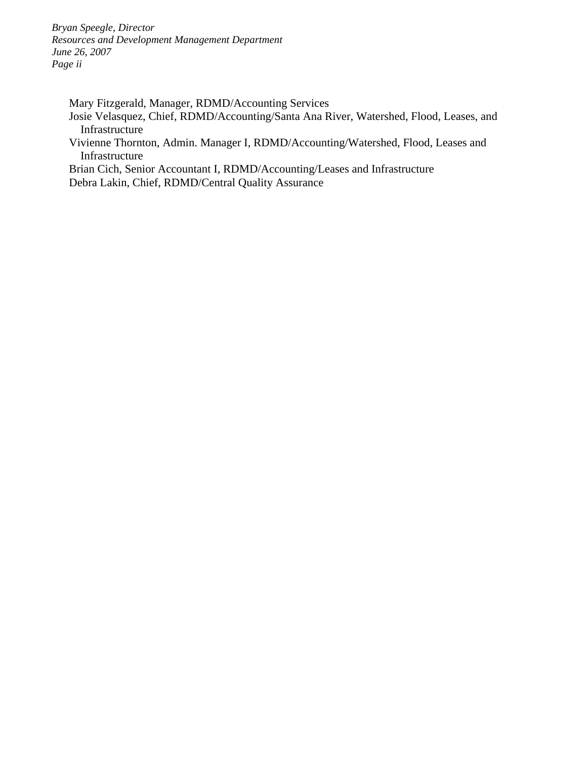*Bryan Speegle, Director Resources and Development Management Department June 26, 2007 Page ii* 

Mary Fitzgerald, Manager, RDMD/Accounting Services

- Josie Velasquez, Chief, RDMD/Accounting/Santa Ana River, Watershed, Flood, Leases, and Infrastructure
- Vivienne Thornton, Admin. Manager I, RDMD/Accounting/Watershed, Flood, Leases and Infrastructure

Brian Cich, Senior Accountant I, RDMD/Accounting/Leases and Infrastructure Debra Lakin, Chief, RDMD/Central Quality Assurance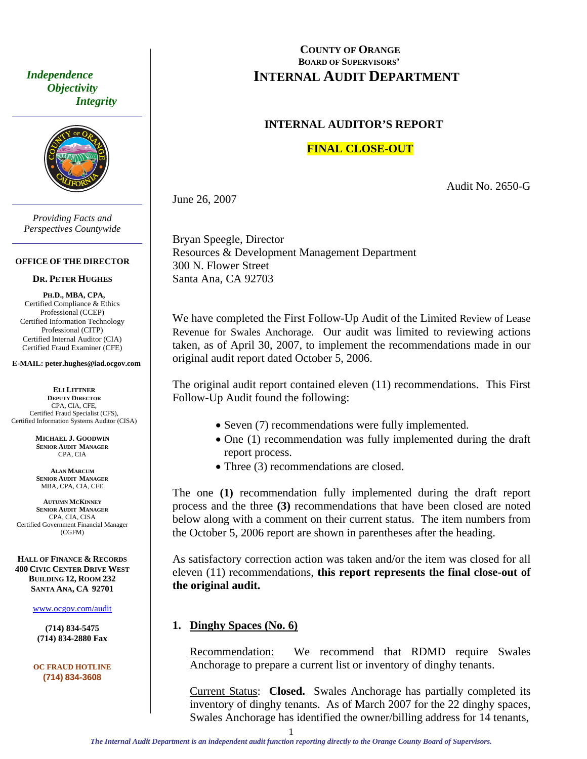<span id="page-4-0"></span> *Independence Objectivity Integrity* 



*Providing Facts and Perspectives Countywide* 

#### **OFFICE OF THE DIRECTOR**

#### **DR. PETER HUGHES**

**PH.D., MBA, CPA,**  Certified Compliance & Ethics Professional (CCEP) Certified Information Technology Professional (CITP) Certified Internal Auditor (CIA) Certified Fraud Examiner (CFE)

**E-MAIL: peter.hughes@iad.ocgov.com** 

**ELI LITTNER DEPUTY DIRECTOR** CPA, CIA, CFE, Certified Fraud Specialist (CFS), Certified Information Systems Auditor (CISA)

> **MICHAEL J. GOODWIN SENIOR AUDIT MANAGER** CPA, CIA

**ALAN MARCUM SENIOR AUDIT MANAGER** MBA, CPA, CIA, CFE

**AUTUMN MCKINNEY SENIOR AUDIT MANAGER** CPA, CIA, CISA Certified Government Financial Manager (CGFM)

**HALL OF FINANCE & RECORDS 400 CIVIC CENTER DRIVE WEST BUILDING 12, ROOM 232 SANTA ANA, CA 92701** 

www.ocgov.com/audit

**(714) 834-5475 (714) 834-2880 Fax** 

**OC FRAUD HOTLINE (714) 834-3608** 

### **COUNTY OF ORANGE BOARD OF SUPERVISORS' INTERNAL AUDIT DEPARTMENT**

## **INTERNAL AUDITOR'S REPORT**

## **FINAL CLOSE-OUT**

Audit No. 2650-G

June 26, 2007

Bryan Speegle, Director Resources & Development Management Department 300 N. Flower Street Santa Ana, CA 92703

We have completed the First Follow-Up Audit of the Limited Review of Lease Revenue for Swales Anchorage. Our audit was limited to reviewing actions taken, as of April 30, 2007, to implement the recommendations made in our original audit report dated October 5, 2006.

The original audit report contained eleven (11) recommendations. This First Follow-Up Audit found the following:

- Seven (7) recommendations were fully implemented.
- One (1) recommendation was fully implemented during the draft report process.
- Three (3) recommendations are closed.

The one **(1)** recommendation fully implemented during the draft report process and the three **(3)** recommendations that have been closed are noted below along with a comment on their current status. The item numbers from the October 5, 2006 report are shown in parentheses after the heading.

As satisfactory correction action was taken and/or the item was closed for all eleven (11) recommendations, **this report represents the final close-out of the original audit.** 

## **1. Dinghy Spaces (No. 6)**

Recommendation: We recommend that RDMD require Swales Anchorage to prepare a current list or inventory of dinghy tenants.

Current Status: **Closed.** Swales Anchorage has partially completed its inventory of dinghy tenants. As of March 2007 for the 22 dinghy spaces, Swales Anchorage has identified the owner/billing address for 14 tenants,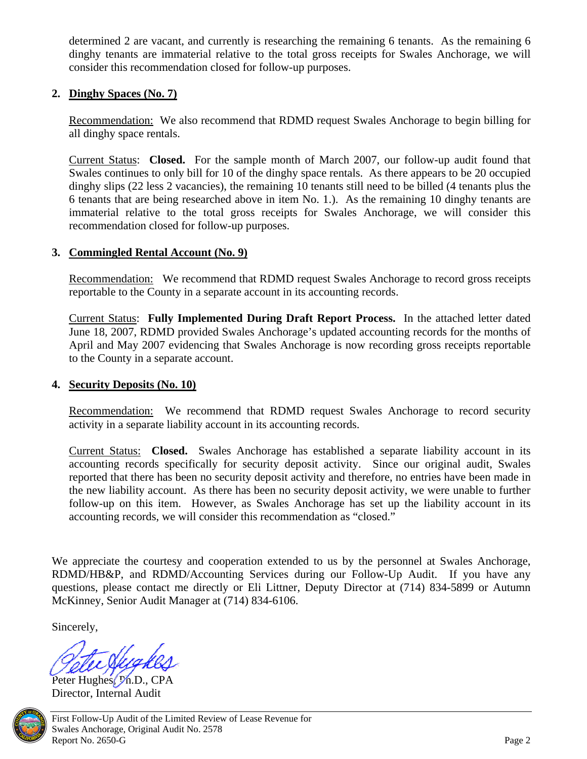<span id="page-5-0"></span>determined 2 are vacant, and currently is researching the remaining 6 tenants. As the remaining 6 dinghy tenants are immaterial relative to the total gross receipts for Swales Anchorage, we will consider this recommendation closed for follow-up purposes.

# **2. Dinghy Spaces (No. 7)**

Recommendation:We also recommend that RDMD request Swales Anchorage to begin billing for all dinghy space rentals.

Current Status: **Closed.** For the sample month of March 2007, our follow-up audit found that Swales continues to only bill for 10 of the dinghy space rentals. As there appears to be 20 occupied dinghy slips (22 less 2 vacancies), the remaining 10 tenants still need to be billed (4 tenants plus the 6 tenants that are being researched above in item No. 1.). As the remaining 10 dinghy tenants are immaterial relative to the total gross receipts for Swales Anchorage, we will consider this recommendation closed for follow-up purposes.

# **3. Commingled Rental Account (No. 9)**

Recommendation: We recommend that RDMD request Swales Anchorage to record gross receipts reportable to the County in a separate account in its accounting records.

Current Status: **Fully Implemented During Draft Report Process.** In the attached letter dated June 18, 2007, RDMD provided Swales Anchorage's updated accounting records for the months of April and May 2007 evidencing that Swales Anchorage is now recording gross receipts reportable to the County in a separate account.

# **4. Security Deposits (No. 10)**

Recommendation: We recommend that RDMD request Swales Anchorage to record security activity in a separate liability account in its accounting records.

Current Status: **Closed.** Swales Anchorage has established a separate liability account in its accounting records specifically for security deposit activity. Since our original audit, Swales reported that there has been no security deposit activity and therefore, no entries have been made in the new liability account. As there has been no security deposit activity, we were unable to further follow-up on this item. However, as Swales Anchorage has set up the liability account in its accounting records, we will consider this recommendation as "closed."

We appreciate the courtesy and cooperation extended to us by the personnel at Swales Anchorage, RDMD/HB&P, and RDMD/Accounting Services during our Follow-Up Audit. If you have any questions, please contact me directly or Eli Littner, Deputy Director at (714) 834-5899 or Autumn McKinney, Senior Audit Manager at (714) 834-6106.

Sincerely,

Peter Hughes, Ph.D., CPA Director, Internal Audit

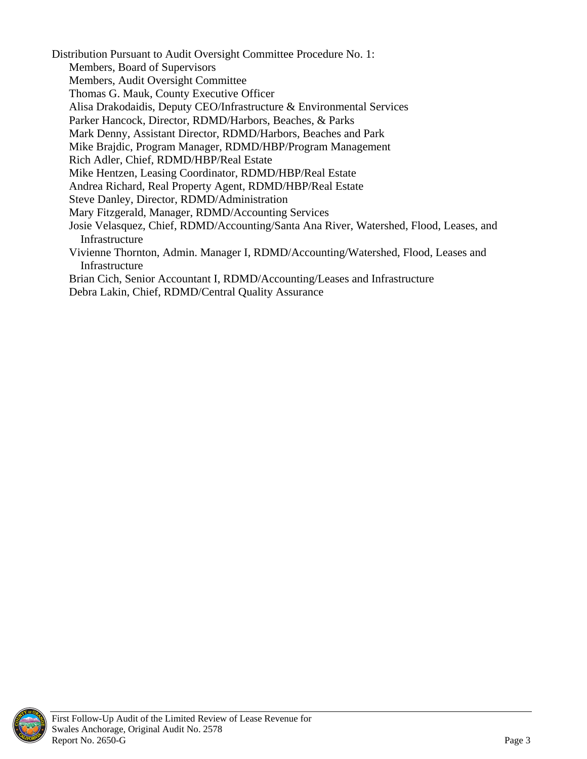Distribution Pursuant to Audit Oversight Committee Procedure No. 1:

- Members, Board of Supervisors
- Members, Audit Oversight Committee
- Thomas G. Mauk, County Executive Officer
- Alisa Drakodaidis, Deputy CEO/Infrastructure & Environmental Services
- Parker Hancock, Director, RDMD/Harbors, Beaches, & Parks
- Mark Denny, Assistant Director, RDMD/Harbors, Beaches and Park
- Mike Brajdic, Program Manager, RDMD/HBP/Program Management
- Rich Adler, Chief, RDMD/HBP/Real Estate
- Mike Hentzen, Leasing Coordinator, RDMD/HBP/Real Estate
- Andrea Richard, Real Property Agent, RDMD/HBP/Real Estate
- Steve Danley, Director, RDMD/Administration
- Mary Fitzgerald, Manager, RDMD/Accounting Services
- Josie Velasquez, Chief, RDMD/Accounting/Santa Ana River, Watershed, Flood, Leases, and Infrastructure
- Vivienne Thornton, Admin. Manager I, RDMD/Accounting/Watershed, Flood, Leases and Infrastructure
- Brian Cich, Senior Accountant I, RDMD/Accounting/Leases and Infrastructure
- Debra Lakin, Chief, RDMD/Central Quality Assurance

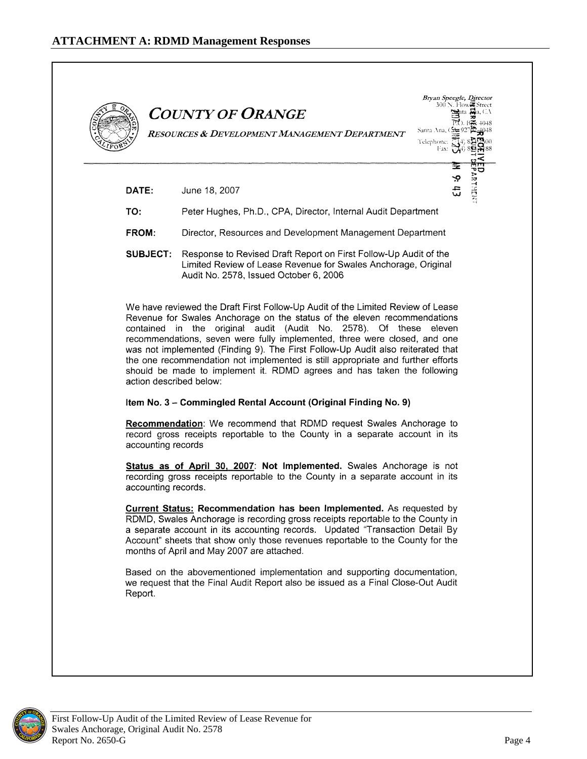<span id="page-7-0"></span>

|                         | <b>COUNTY OF ORANGE</b><br>Sidita Jaja, C.A<br>Santa Ana, Cata 927<br>RESOURCES & DEVELOPMENT MANAGEMENT DEPARTMENT                                                                                                                                                                                                                                                                                                                                                         |
|-------------------------|-----------------------------------------------------------------------------------------------------------------------------------------------------------------------------------------------------------------------------------------------------------------------------------------------------------------------------------------------------------------------------------------------------------------------------------------------------------------------------|
|                         | Telephone: T<br>Fax: $\sqrt{\ }$                                                                                                                                                                                                                                                                                                                                                                                                                                            |
| DATE:                   | Ģ<br>م<br>سا<br>June 18, 2007                                                                                                                                                                                                                                                                                                                                                                                                                                               |
| TO:                     |                                                                                                                                                                                                                                                                                                                                                                                                                                                                             |
| FROM:                   | Peter Hughes, Ph.D., CPA, Director, Internal Audit Department<br>Director, Resources and Development Management Department                                                                                                                                                                                                                                                                                                                                                  |
| <b>SUBJECT:</b>         | Response to Revised Draft Report on First Follow-Up Audit of the<br>Limited Review of Lease Revenue for Swales Anchorage, Original<br>Audit No. 2578, Issued October 6, 2006                                                                                                                                                                                                                                                                                                |
| action described below: | Revenue for Swales Anchorage on the status of the eleven recommendations<br>contained in the original audit (Audit No. 2578). Of these eleven<br>recommendations, seven were fully implemented, three were closed, and one<br>was not implemented (Finding 9). The First Follow-Up Audit also reiterated that<br>the one recommendation not implemented is still appropriate and further efforts<br>should be made to implement it. RDMD agrees and has taken the following |
|                         | Item No. 3 - Commingled Rental Account (Original Finding No. 9)                                                                                                                                                                                                                                                                                                                                                                                                             |
|                         | Recommendation: We recommend that RDMD request Swales Anchorage to<br>record gross receipts reportable to the County in a separate account in its                                                                                                                                                                                                                                                                                                                           |
| accounting records      |                                                                                                                                                                                                                                                                                                                                                                                                                                                                             |
| accounting records.     | Status as of April 30, 2007: Not Implemented. Swales Anchorage is not<br>recording gross receipts reportable to the County in a separate account in its                                                                                                                                                                                                                                                                                                                     |
|                         | <b>Current Status: Recommendation has been Implemented.</b> As requested by<br>RDMD, Swales Anchorage is recording gross receipts reportable to the County in<br>a separate account in its accounting records. Updated "Transaction Detail By<br>Account" sheets that show only those revenues reportable to the County for the<br>months of April and May 2007 are attached.                                                                                               |